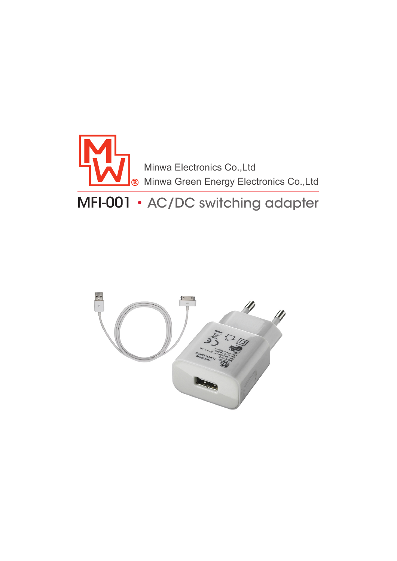

# MFI-001 • AC/DC switching adapter

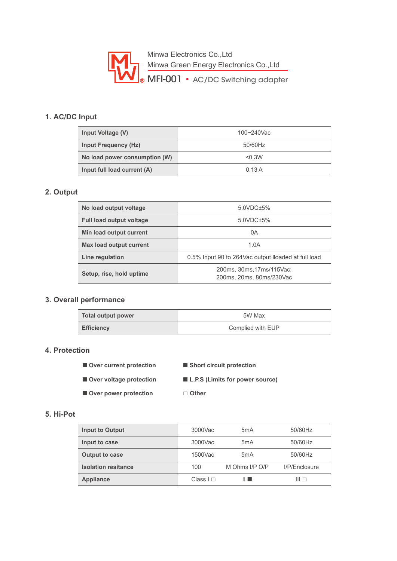

## **1. AC/DC Input**

| Input Voltage (V)             | 100~240Vac |
|-------------------------------|------------|
| <b>Input Frequency (Hz)</b>   | 50/60Hz    |
| No load power consumption (W) | < 0.3W     |
| Input full load current (A)   | 0.13A      |

#### **2. Output**

| No load output voltage          | $5.0$ VDC $\pm$ 5%                                    |
|---------------------------------|-------------------------------------------------------|
| <b>Full load output voltage</b> | $5.0$ VDC $\pm$ 5%                                    |
| Min load output current         | 0Α                                                    |
| Max load output current         | 1.0A                                                  |
| Line regulation                 | 0.5% Input 90 to 264 Vac output Iloaded at full load  |
| Setup, rise, hold uptime        | 200ms, 30ms, 17ms/115Vac;<br>200ms, 20ms, 80ms/230Vac |

#### **3. Overall performance**

| Total output power | 5W Max            |
|--------------------|-------------------|
| <b>Efficiency</b>  | Complied with EUP |

#### **4. Protection**

- Over current protection Short circuit protection
	-
- Over voltage protection L.P.S (Limits for power source)
- Over power protection □ Other

#### **5. Hi-Pot**

| <b>Input to Output</b>     | 3000Vac        | 5 <sub>m</sub> A | 50/60Hz       |
|----------------------------|----------------|------------------|---------------|
| Input to case              | 3000Vac        | 5 <sub>m</sub> A | 50/60Hz       |
| <b>Output to case</b>      | 1500Vac        | 5 <sub>m</sub> A | 50/60Hz       |
| <b>Isolation resitance</b> | 100            | M Ohms I/P O/P   | I/P/Enclosure |
| <b>Appliance</b>           | Class $  \Box$ | 11 E             | Ⅲ⊓            |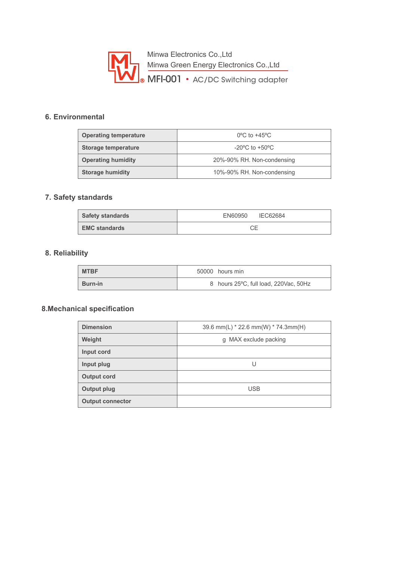

## **6. Environmental**

| <b>Operating temperature</b> | $0^{\circ}$ C to +45 $^{\circ}$ C  |
|------------------------------|------------------------------------|
| Storage temperature          | $-20^{\circ}$ C to $+50^{\circ}$ C |
| <b>Operating humidity</b>    | 20%-90% RH. Non-condensing         |
| <b>Storage humidity</b>      | 10%-90% RH. Non-condensing         |

### **7. Safety standards**

| <b>Safety standards</b> | EN60950 IEC62684 |
|-------------------------|------------------|
| <b>EMC standards</b>    |                  |

## **8. Reliability**

| <b>MTBF</b>    | 50000 hours min                       |
|----------------|---------------------------------------|
| <b>Burn-in</b> | 8 hours 25°C, full load, 220Vac, 50Hz |

## **8. Mechanical specification**

| <b>Dimension</b>        | 39.6 mm(L) * 22.6 mm(W) * 74.3mm(H) |
|-------------------------|-------------------------------------|
| Weight                  | g MAX exclude packing               |
| Input cord              |                                     |
| Input plug              | U                                   |
| <b>Output cord</b>      |                                     |
| Output plug             | <b>USB</b>                          |
| <b>Output connector</b> |                                     |